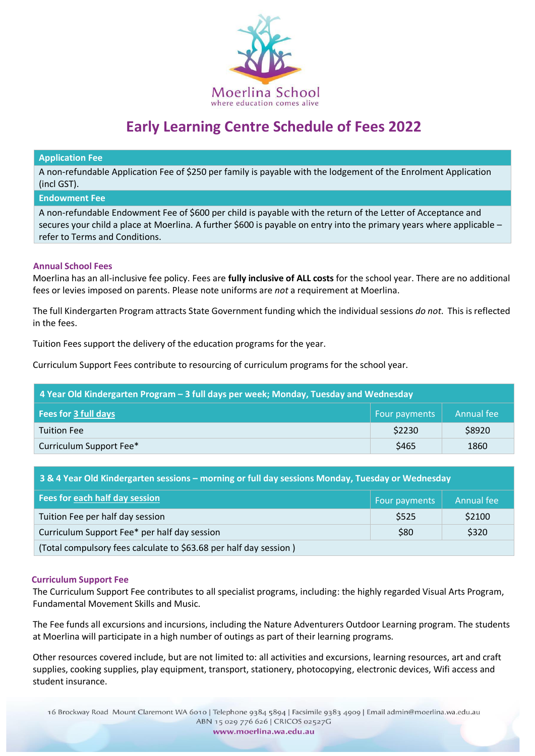

# **Early Learning Centre Schedule of Fees 2022**

#### **Application Fee**

A non-refundable Application Fee of \$250 per family is payable with the lodgement of the Enrolment Application (incl GST).

#### **Endowment Fee**

A non-refundable Endowment Fee of \$600 per child is payable with the return of the Letter of Acceptance and secures your child a place at Moerlina. A further \$600 is payable on entry into the primary years where applicable – refer to Terms and Conditions.

## **Annual School Fees**

Moerlina has an all-inclusive fee policy. Fees are **fully inclusive of ALL costs** for the school year. There are no additional fees or levies imposed on parents. Please note uniforms are *not* a requirement at Moerlina.

The full Kindergarten Program attracts State Government funding which the individual sessions *do not*. This is reflected in the fees.

Tuition Fees support the delivery of the education programs for the year.

Curriculum Support Fees contribute to resourcing of curriculum programs for the school year.

| 4 Year Old Kindergarten Program – 3 full days per week; Monday, Tuesday and Wednesday |               |            |  |
|---------------------------------------------------------------------------------------|---------------|------------|--|
| <b>Fees for 3 full days</b>                                                           | Four payments | Annual fee |  |
| <b>Tuition Fee</b>                                                                    | \$2230        | \$8920     |  |
| Curriculum Support Fee*                                                               | \$465         | 1860       |  |

| 3 & 4 Year Old Kindergarten sessions – morning or full day sessions Monday, Tuesday or Wednesday |               |            |  |
|--------------------------------------------------------------------------------------------------|---------------|------------|--|
| Fees for each half day session                                                                   | Four payments | Annual fee |  |
| Tuition Fee per half day session                                                                 | \$525         | \$2100     |  |
| Curriculum Support Fee* per half day session                                                     | \$80          | \$320      |  |
| (Total compulsory fees calculate to \$63.68 per half day session)                                |               |            |  |

## **Curriculum Support Fee**

The Curriculum Support Fee contributes to all specialist programs, including: the highly regarded Visual Arts Program, Fundamental Movement Skills and Music.

The Fee funds all excursions and incursions, including the Nature Adventurers Outdoor Learning program. The students at Moerlina will participate in a high number of outings as part of their learning programs.

Other resources covered include, but are not limited to: all activities and excursions, learning resources, art and craft supplies, cooking supplies, play equipment, transport, stationery, photocopying, electronic devices, Wifi access and student insurance.